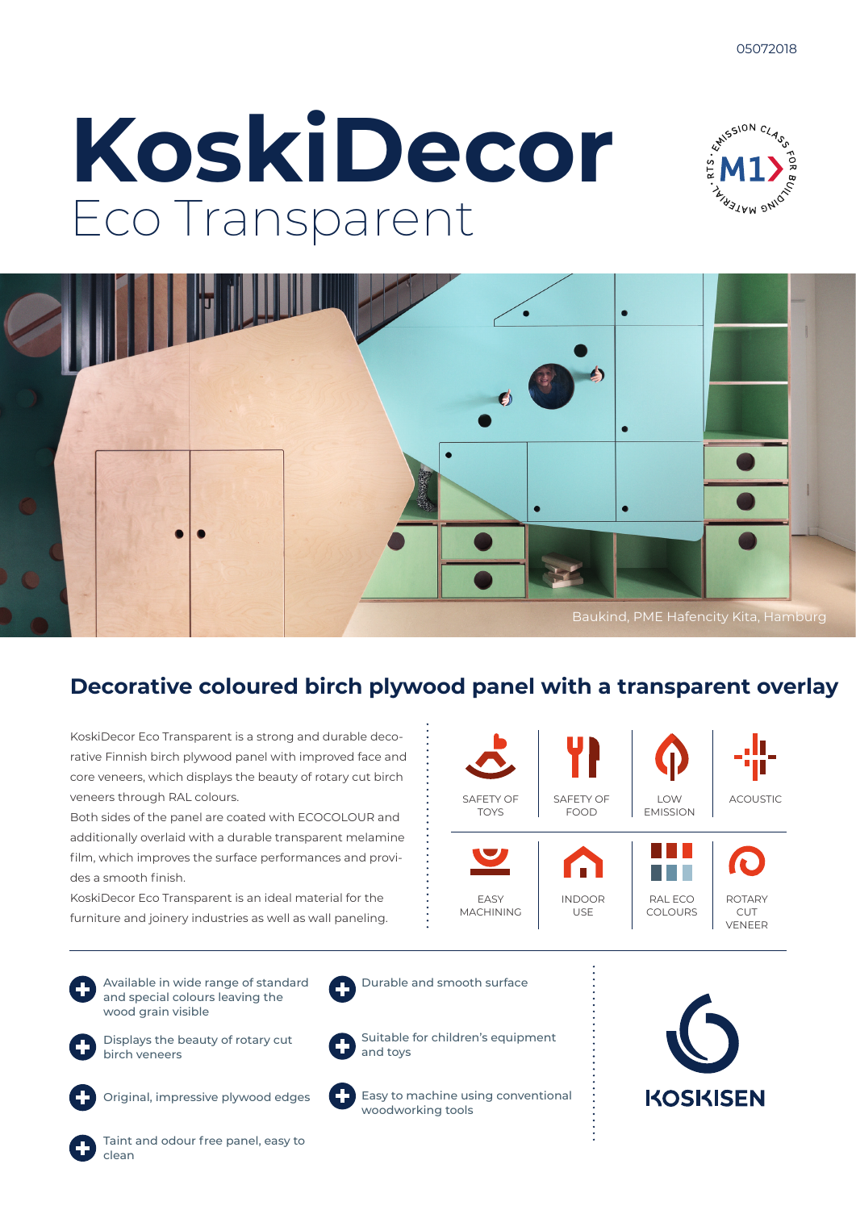# **KoskiDecor** Eco Transparent





### **Decorative coloured birch plywood panel with a transparent overlay**

KoskiDecor Eco Transparent is a strong and durable decorative Finnish birch plywood panel with improved face and core veneers, which displays the beauty of rotary cut birch veneers through RAL colours.

Both sides of the panel are coated with ECOCOLOUR and additionally overlaid with a durable transparent melamine film, which improves the surface performances and provides a smooth finish.

KoskiDecor Eco Transparent is an ideal material for the furniture and joinery industries as well as wall paneling.

Available in wide range of standard and special colours leaving the

birch veneers



wood grain visible Displays the beauty of rotary cut



Original, impressive plywood edges



Taint and odour free panel, easy to clean



Durable and smooth surface

Suitable for children's equipment and toys

Easy to machine using conventional woodworking tools



**KOSKISEN**